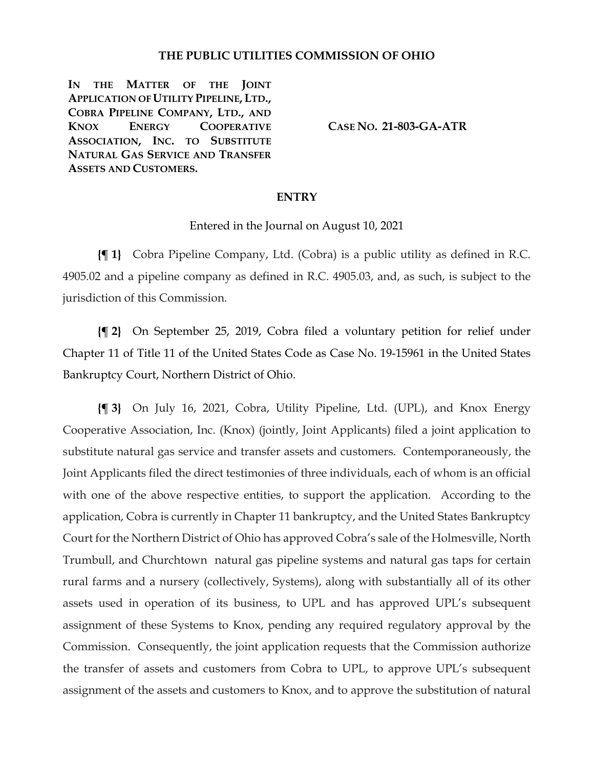### **THE PUBLIC UTILITIES COMMISSION OF OHIO**

**IN THE MATTER OF THE JOINT APPLICATION OF UTILITY PIPELINE, LTD., COBRA PIPELINE COMPANY, LTD., AND KNOX ENERGY COOPERATIVE ASSOCIATION, INC. TO SUBSTITUTE NATURAL GAS SERVICE AND TRANSFER ASSETS AND CUSTOMERS.**

**CASE NO. 21-803-GA-ATR**

### **ENTRY**

Entered in the Journal on August 10, 2021

**{¶ 1}** Cobra Pipeline Company, Ltd. (Cobra) is a public utility as defined in R.C. 4905.02 and a pipeline company as defined in R.C. 4905.03, and, as such, is subject to the jurisdiction of this Commission.

**{¶ 2}** On September 25, 2019, Cobra filed a voluntary petition for relief under Chapter 11 of Title 11 of the United States Code as Case No. 19-15961 in the United States Bankruptcy Court, Northern District of Ohio.

**{¶ 3}** On July 16, 2021, Cobra, Utility Pipeline, Ltd. (UPL), and Knox Energy Cooperative Association, Inc. (Knox) (jointly, Joint Applicants) filed a joint application to substitute natural gas service and transfer assets and customers. Contemporaneously, the Joint Applicants filed the direct testimonies of three individuals, each of whom is an official with one of the above respective entities, to support the application. According to the application, Cobra is currently in Chapter 11 bankruptcy, and the United States Bankruptcy Court for the Northern District of Ohio has approved Cobra's sale of the Holmesville, North Trumbull, and Churchtown natural gas pipeline systems and natural gas taps for certain rural farms and a nursery (collectively, Systems), along with substantially all of its other assets used in operation of its business, to UPL and has approved UPL's subsequent assignment of these Systems to Knox, pending any required regulatory approval by the Commission. Consequently, the joint application requests that the Commission authorize the transfer of assets and customers from Cobra to UPL, to approve UPL's subsequent assignment of the assets and customers to Knox, and to approve the substitution of natural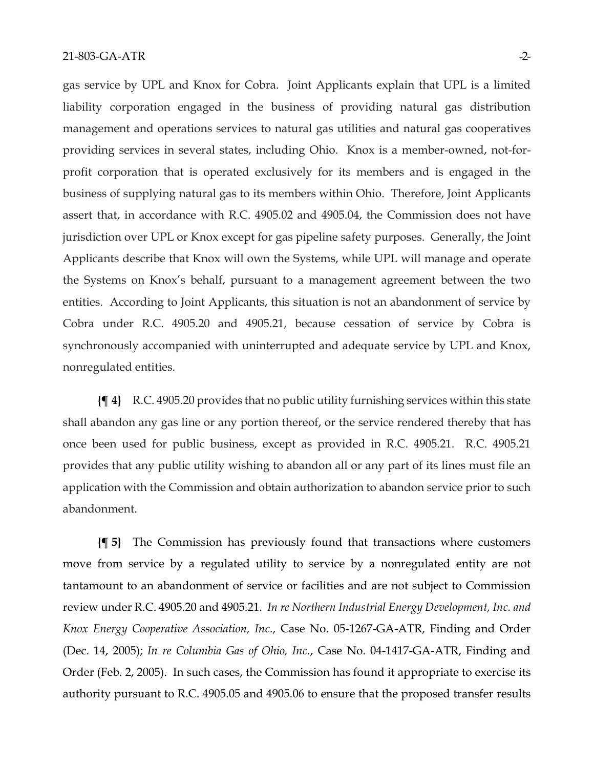gas service by UPL and Knox for Cobra. Joint Applicants explain that UPL is a limited liability corporation engaged in the business of providing natural gas distribution management and operations services to natural gas utilities and natural gas cooperatives providing services in several states, including Ohio. Knox is a member-owned, not-forprofit corporation that is operated exclusively for its members and is engaged in the business of supplying natural gas to its members within Ohio. Therefore, Joint Applicants assert that, in accordance with R.C. 4905.02 and 4905.04, the Commission does not have jurisdiction over UPL or Knox except for gas pipeline safety purposes. Generally, the Joint Applicants describe that Knox will own the Systems, while UPL will manage and operate the Systems on Knox's behalf, pursuant to a management agreement between the two entities. According to Joint Applicants, this situation is not an abandonment of service by Cobra under R.C. 4905.20 and 4905.21, because cessation of service by Cobra is synchronously accompanied with uninterrupted and adequate service by UPL and Knox, nonregulated entities.

**{¶ 4}** R.C. 4905.20 provides that no public utility furnishing services within this state shall abandon any gas line or any portion thereof, or the service rendered thereby that has once been used for public business, except as provided in R.C. 4905.21. R.C. 4905.21 provides that any public utility wishing to abandon all or any part of its lines must file an application with the Commission and obtain authorization to abandon service prior to such abandonment.

**{¶ 5}** The Commission has previously found that transactions where customers move from service by a regulated utility to service by a nonregulated entity are not tantamount to an abandonment of service or facilities and are not subject to Commission review under R.C. 4905.20 and 4905.21. *In re Northern Industrial Energy Development, Inc. and Knox Energy Cooperative Association, Inc.*, Case No. 05-1267-GA-ATR, Finding and Order (Dec. 14, 2005); *In re Columbia Gas of Ohio, Inc.*, Case No. 04-1417-GA-ATR, Finding and Order (Feb. 2, 2005). In such cases, the Commission has found it appropriate to exercise its authority pursuant to R.C. 4905.05 and 4905.06 to ensure that the proposed transfer results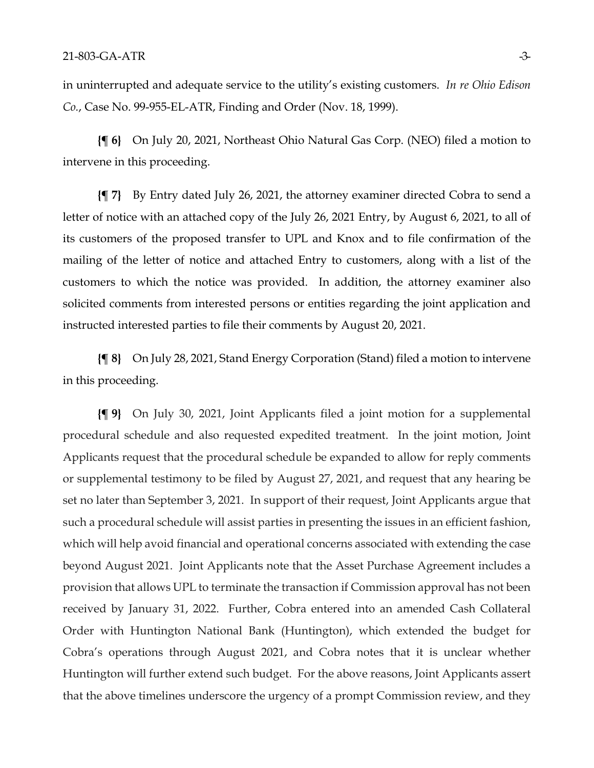in uninterrupted and adequate service to the utility's existing customers. *In re Ohio Edison Co.*, Case No. 99-955-EL-ATR, Finding and Order (Nov. 18, 1999).

**{¶ 6}** On July 20, 2021, Northeast Ohio Natural Gas Corp. (NEO) filed a motion to intervene in this proceeding.

**{¶ 7}** By Entry dated July 26, 2021, the attorney examiner directed Cobra to send a letter of notice with an attached copy of the July 26, 2021 Entry, by August 6, 2021, to all of its customers of the proposed transfer to UPL and Knox and to file confirmation of the mailing of the letter of notice and attached Entry to customers, along with a list of the customers to which the notice was provided. In addition, the attorney examiner also solicited comments from interested persons or entities regarding the joint application and instructed interested parties to file their comments by August 20, 2021.

**{¶ 8}** On July 28, 2021, Stand Energy Corporation (Stand) filed a motion to intervene in this proceeding.

**{¶ 9}** On July 30, 2021, Joint Applicants filed a joint motion for a supplemental procedural schedule and also requested expedited treatment. In the joint motion, Joint Applicants request that the procedural schedule be expanded to allow for reply comments or supplemental testimony to be filed by August 27, 2021, and request that any hearing be set no later than September 3, 2021. In support of their request, Joint Applicants argue that such a procedural schedule will assist parties in presenting the issues in an efficient fashion, which will help avoid financial and operational concerns associated with extending the case beyond August 2021. Joint Applicants note that the Asset Purchase Agreement includes a provision that allows UPL to terminate the transaction if Commission approval has not been received by January 31, 2022. Further, Cobra entered into an amended Cash Collateral Order with Huntington National Bank (Huntington), which extended the budget for Cobra's operations through August 2021, and Cobra notes that it is unclear whether Huntington will further extend such budget. For the above reasons, Joint Applicants assert that the above timelines underscore the urgency of a prompt Commission review, and they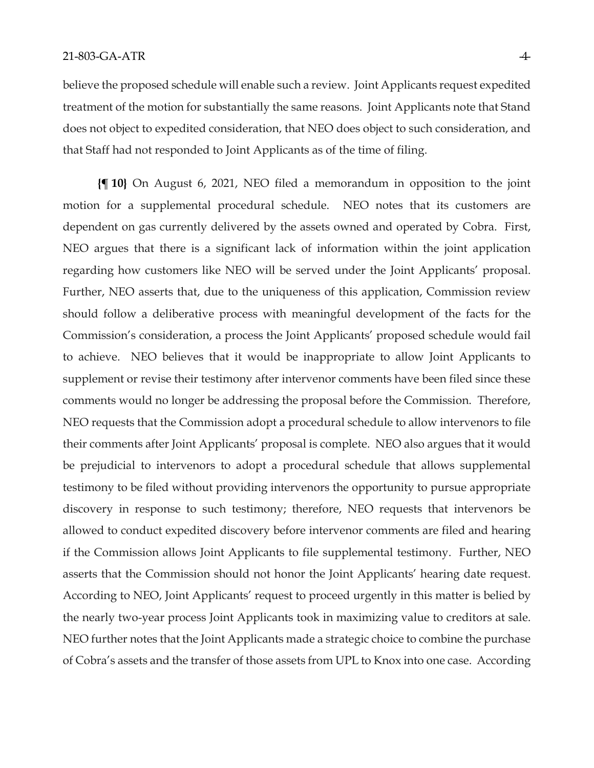#### 21-803-GA-ATR -4-

believe the proposed schedule will enable such a review. Joint Applicants request expedited treatment of the motion for substantially the same reasons. Joint Applicants note that Stand does not object to expedited consideration, that NEO does object to such consideration, and that Staff had not responded to Joint Applicants as of the time of filing.

**{¶ 10}** On August 6, 2021, NEO filed a memorandum in opposition to the joint motion for a supplemental procedural schedule. NEO notes that its customers are dependent on gas currently delivered by the assets owned and operated by Cobra. First, NEO argues that there is a significant lack of information within the joint application regarding how customers like NEO will be served under the Joint Applicants' proposal. Further, NEO asserts that, due to the uniqueness of this application, Commission review should follow a deliberative process with meaningful development of the facts for the Commission's consideration, a process the Joint Applicants' proposed schedule would fail to achieve. NEO believes that it would be inappropriate to allow Joint Applicants to supplement or revise their testimony after intervenor comments have been filed since these comments would no longer be addressing the proposal before the Commission. Therefore, NEO requests that the Commission adopt a procedural schedule to allow intervenors to file their comments after Joint Applicants' proposal is complete. NEO also argues that it would be prejudicial to intervenors to adopt a procedural schedule that allows supplemental testimony to be filed without providing intervenors the opportunity to pursue appropriate discovery in response to such testimony; therefore, NEO requests that intervenors be allowed to conduct expedited discovery before intervenor comments are filed and hearing if the Commission allows Joint Applicants to file supplemental testimony. Further, NEO asserts that the Commission should not honor the Joint Applicants' hearing date request. According to NEO, Joint Applicants' request to proceed urgently in this matter is belied by the nearly two-year process Joint Applicants took in maximizing value to creditors at sale. NEO further notes that the Joint Applicants made a strategic choice to combine the purchase of Cobra's assets and the transfer of those assets from UPL to Knox into one case. According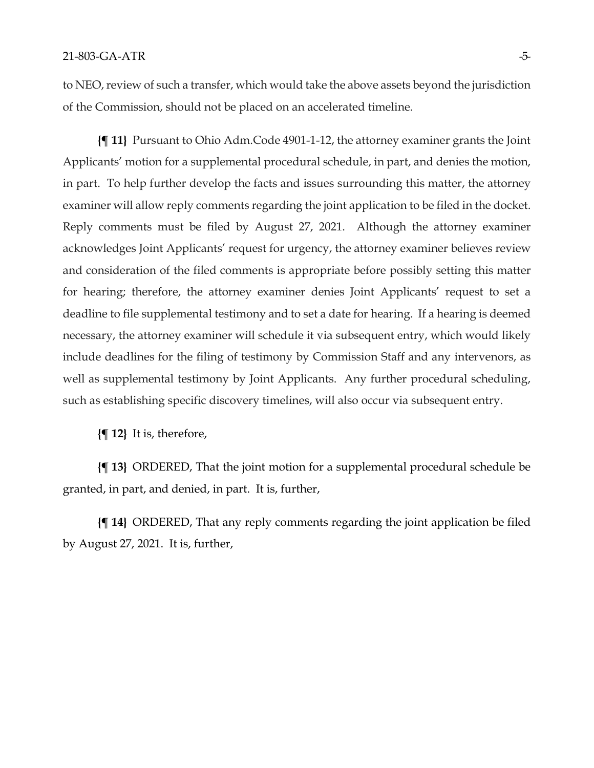to NEO, review of such a transfer, which would take the above assets beyond the jurisdiction of the Commission, should not be placed on an accelerated timeline.

**{¶ 11}** Pursuant to Ohio Adm.Code 4901-1-12, the attorney examiner grants the Joint Applicants' motion for a supplemental procedural schedule, in part, and denies the motion, in part. To help further develop the facts and issues surrounding this matter, the attorney examiner will allow reply comments regarding the joint application to be filed in the docket. Reply comments must be filed by August 27, 2021. Although the attorney examiner acknowledges Joint Applicants' request for urgency, the attorney examiner believes review and consideration of the filed comments is appropriate before possibly setting this matter for hearing; therefore, the attorney examiner denies Joint Applicants' request to set a deadline to file supplemental testimony and to set a date for hearing. If a hearing is deemed necessary, the attorney examiner will schedule it via subsequent entry, which would likely include deadlines for the filing of testimony by Commission Staff and any intervenors, as well as supplemental testimony by Joint Applicants. Any further procedural scheduling, such as establishing specific discovery timelines, will also occur via subsequent entry.

**{¶ 12}** It is, therefore,

**{¶ 13}** ORDERED, That the joint motion for a supplemental procedural schedule be granted, in part, and denied, in part. It is, further,

**{¶ 14}** ORDERED, That any reply comments regarding the joint application be filed by August 27, 2021. It is, further,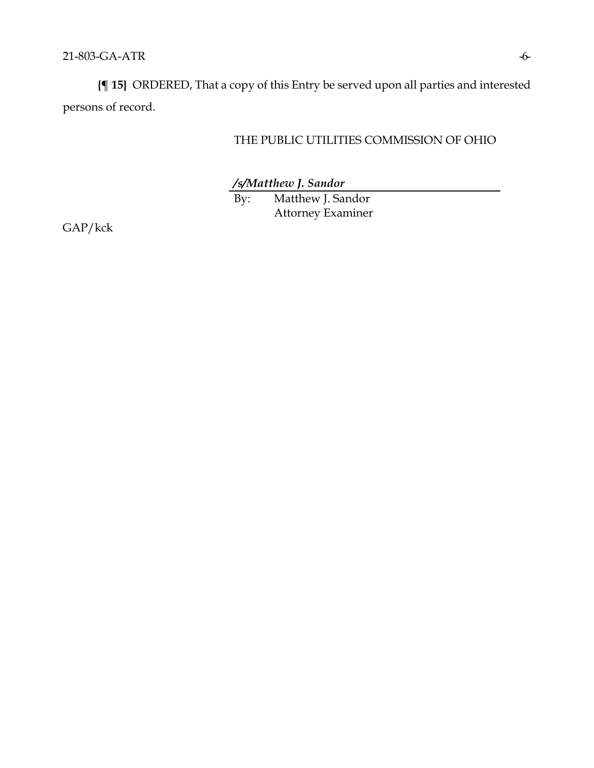**{¶ 15}** ORDERED, That a copy of this Entry be served upon all parties and interested persons of record.

THE PUBLIC UTILITIES COMMISSION OF OHIO

*/s/Matthew J. Sandor*

By: Matthew J. Sandor Attorney Examiner

GAP/kck